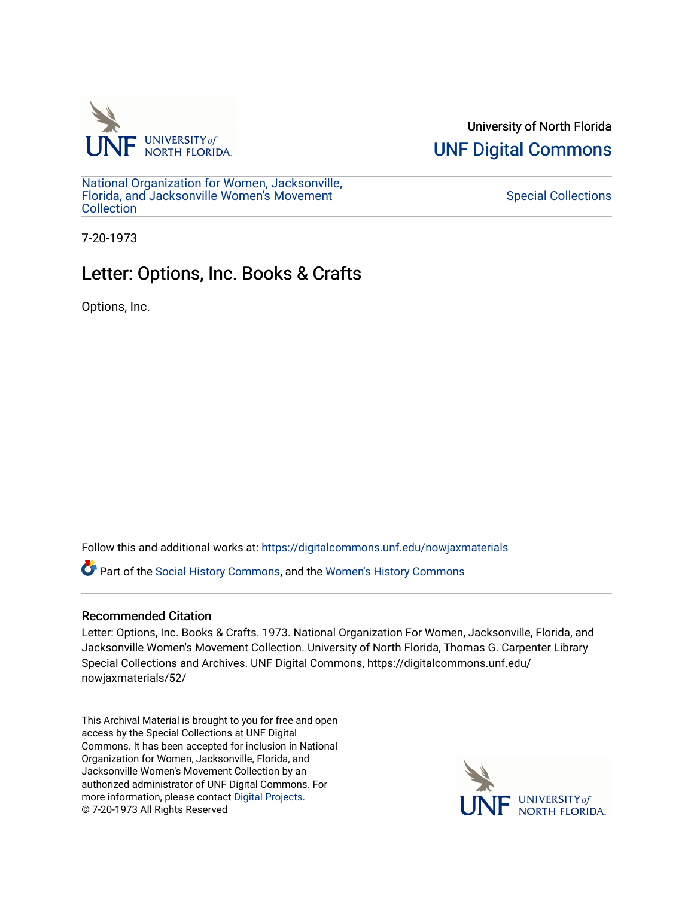

University of North Florida [UNF Digital Commons](https://digitalcommons.unf.edu/) 

[National Organization for Women, Jacksonville,](https://digitalcommons.unf.edu/nowjaxmaterials) [Florida, and Jacksonville Women's Movement](https://digitalcommons.unf.edu/nowjaxmaterials) [Collection](https://digitalcommons.unf.edu/nowjaxmaterials) 

## [Special Collections](https://digitalcommons.unf.edu/special_collections)

7-20-1973

## Letter: Options, Inc. Books & Crafts

Options, Inc.

Follow this and additional works at: [https://digitalcommons.unf.edu/nowjaxmaterials](https://digitalcommons.unf.edu/nowjaxmaterials?utm_source=digitalcommons.unf.edu%2Fnowjaxmaterials%2F52&utm_medium=PDF&utm_campaign=PDFCoverPages) 

Part of the [Social History Commons](http://network.bepress.com/hgg/discipline/506?utm_source=digitalcommons.unf.edu%2Fnowjaxmaterials%2F52&utm_medium=PDF&utm_campaign=PDFCoverPages), and the [Women's History Commons](http://network.bepress.com/hgg/discipline/507?utm_source=digitalcommons.unf.edu%2Fnowjaxmaterials%2F52&utm_medium=PDF&utm_campaign=PDFCoverPages)

## Recommended Citation

Letter: Options, Inc. Books & Crafts. 1973. National Organization For Women, Jacksonville, Florida, and Jacksonville Women's Movement Collection. University of North Florida, Thomas G. Carpenter Library Special Collections and Archives. UNF Digital Commons, https://digitalcommons.unf.edu/ nowjaxmaterials/52/

This Archival Material is brought to you for free and open access by the Special Collections at UNF Digital Commons. It has been accepted for inclusion in National Organization for Women, Jacksonville, Florida, and Jacksonville Women's Movement Collection by an authorized administrator of UNF Digital Commons. For more information, please contact [Digital Projects](mailto:lib-digital@unf.edu). © 7-20-1973 All Rights Reserved

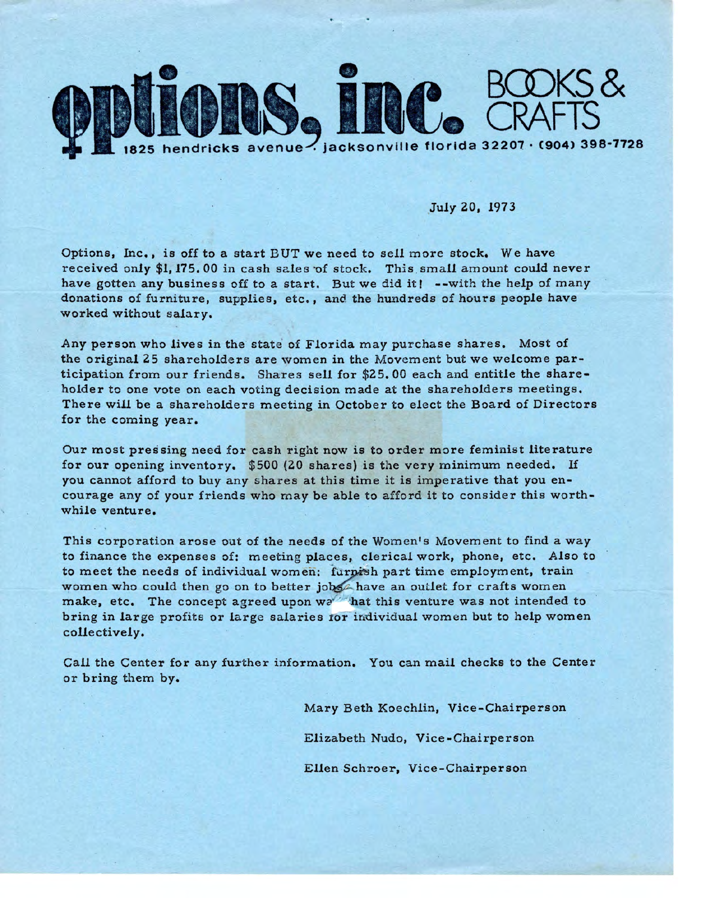

July 20, 1973

Options, Inc., is off to a start BUT we need to sell more stock. We have received only \$1, 175.00 in cash sales of stock. This small amount could never have gotten any business off to a start. But we did it! --with the help of many donations of furniture, supplies, etc., and the hundreds of hours people have worked without salary.

Any person who lives in the state of Florida may purchase shares. Most of the original 25 shareholders are women in the Movement but we welcome participation from our friends. Shares sell for \$25. 00 each and entitle the shareholder to one vote on each voting decision made at the shareholders meetings. There will be a shareholders meeting in October to elect the Board of Directors for the coming year.

Our most pressing need for cash right now is to order more feminist literature for our opening inventory. \$500 (20 shares) is the very minimum needed. If you cannot afford to buy any shares at this time it is imperative that you encourage any of your friends who may be able to afford it to consider this worthwhile venture.

This corporation arose out of the needs of the Women's Movement to find a way to finance the expenses of: meeting places, clerical work, phone, etc. Also to to meet the needs of individual women: furnish part time employment, train women who could then go on to better jobs have an outlet for crafts women make, etc. The concept agreed upon wat this venture was not intended to bring in large profits or large salaries ror individual women but to help women collectively.

Call the Center for any further information. You can mail checks to the Center or bring them by.

> Mary Beth Koechlin, Vice-Chairperson Elizabeth Nudo, Vice-Chairperson Ellen Schroer, Vice-Chairperson